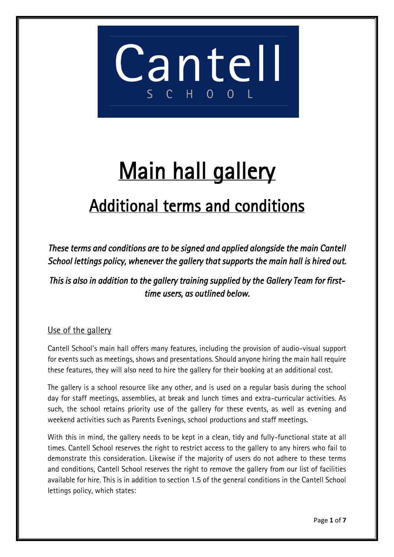

# Main hall gallery

### Additional terms and conditions

*These terms and conditions are to be signed and applied alongside the main Cantell School lettings policy, whenever the gallery that supports the main hall is hired out.* 

*This is also in addition to the gallery training supplied by the Gallery Team for firsttime users, as outlined below.* 

#### Use of the gallery

Cantell School's main hall offers many features, including the provision of audio-visual support for events such as meetings, shows and presentations. Should anyone hiring the main hall require these features, they will also need to hire the gallery for their booking at an additional cost.

The gallery is a school resource like any other, and is used on a regular basis during the school day for staff meetings, assemblies, at break and lunch times and extra-curricular activities. As such, the school retains priority use of the gallery for these events, as well as evening and weekend activities such as Parents Evenings, school productions and staff meetings.

With this in mind, the gallery needs to be kept in a clean, tidy and fully-functional state at all times. Cantell School reserves the right to restrict access to the gallery to any hirers who fail to demonstrate this consideration. Likewise if the majority of users do not adhere to these terms and conditions, Cantell School reserves the right to remove the gallery from our list of facilities available for hire. This is in addition to section 1.5 of the general conditions in the Cantell School lettings policy, which states: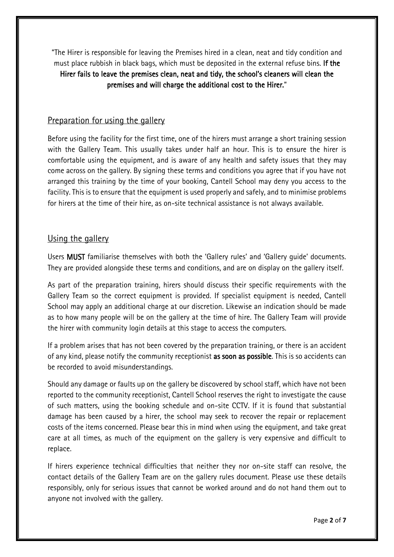"The Hirer is responsible for leaving the Premises hired in a clean, neat and tidy condition and must place rubbish in black bags, which must be deposited in the external refuse bins. If the Hirer fails to leave the premises clean, neat and tidy, the school's cleaners will clean the premises and will charge the additional cost to the Hirer."

#### Preparation for using the gallery

Before using the facility for the first time, one of the hirers must arrange a short training session with the Gallery Team. This usually takes under half an hour. This is to ensure the hirer is comfortable using the equipment, and is aware of any health and safety issues that they may come across on the gallery. By signing these terms and conditions you agree that if you have not arranged this training by the time of your booking, Cantell School may deny you access to the facility. This is to ensure that the equipment is used properly and safely, and to minimise problems for hirers at the time of their hire, as on-site technical assistance is not always available.

#### Using the gallery

Users MUST familiarise themselves with both the 'Gallery rules' and 'Gallery guide' documents. They are provided alongside these terms and conditions, and are on display on the gallery itself.

As part of the preparation training, hirers should discuss their specific requirements with the Gallery Team so the correct equipment is provided. If specialist equipment is needed, Cantell School may apply an additional charge at our discretion. Likewise an indication should be made as to how many people will be on the gallery at the time of hire. The Gallery Team will provide the hirer with community login details at this stage to access the computers.

If a problem arises that has not been covered by the preparation training, or there is an accident of any kind, please notify the community receptionist as soon as possible. This is so accidents can be recorded to avoid misunderstandings.

Should any damage or faults up on the gallery be discovered by school staff, which have not been reported to the community receptionist, Cantell School reserves the right to investigate the cause of such matters, using the booking schedule and on-site CCTV. If it is found that substantial damage has been caused by a hirer, the school may seek to recover the repair or replacement costs of the items concerned. Please bear this in mind when using the equipment, and take great care at all times, as much of the equipment on the gallery is very expensive and difficult to replace.

If hirers experience technical difficulties that neither they nor on-site staff can resolve, the contact details of the Gallery Team are on the gallery rules document. Please use these details responsibly, only for serious issues that cannot be worked around and do not hand them out to anyone not involved with the gallery.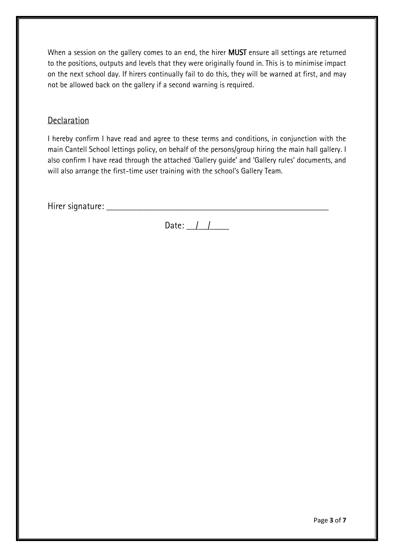When a session on the gallery comes to an end, the hirer **MUST** ensure all settings are returned to the positions, outputs and levels that they were originally found in. This is to minimise impact on the next school day. If hirers continually fail to do this, they will be warned at first, and may not be allowed back on the gallery if a second warning is required.

#### **Declaration**

I hereby confirm I have read and agree to these terms and conditions, in conjunction with the main Cantell School lettings policy, on behalf of the persons/group hiring the main hall gallery. I also confirm I have read through the attached 'Gallery guide' and 'Gallery rules' documents, and will also arrange the first-time user training with the school's Gallery Team.

Hirer signature: **William School** 

Date:  $\frac{1}{\sqrt{2}}$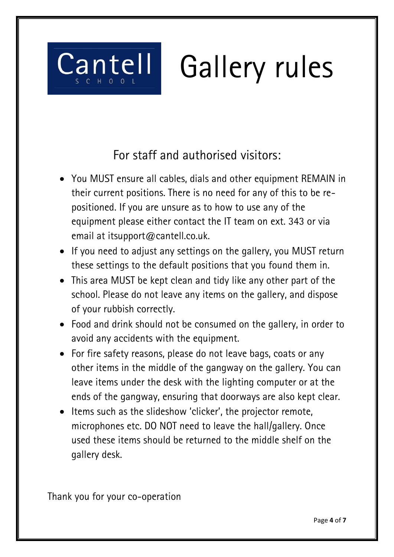

For staff and authorised visitors:

- You MUST ensure all cables, dials and other equipment REMAIN in their current positions. There is no need for any of this to be repositioned. If you are unsure as to how to use any of the equipment please either contact the IT team on ext. 343 or via email at itsupport@cantell.co.uk.
- If you need to adjust any settings on the gallery, you MUST return these settings to the default positions that you found them in.
- This area MUST be kept clean and tidy like any other part of the school. Please do not leave any items on the gallery, and dispose of your rubbish correctly.
- Food and drink should not be consumed on the gallery, in order to avoid any accidents with the equipment.
- For fire safety reasons, please do not leave bags, coats or any other items in the middle of the gangway on the gallery. You can leave items under the desk with the lighting computer or at the ends of the gangway, ensuring that doorways are also kept clear.
- $\bullet$  Items such as the slideshow 'clicker', the projector remote, microphones etc. DO NOT need to leave the hall/gallery. Once used these items should be returned to the middle shelf on the gallery desk.

Thank you for your co-operation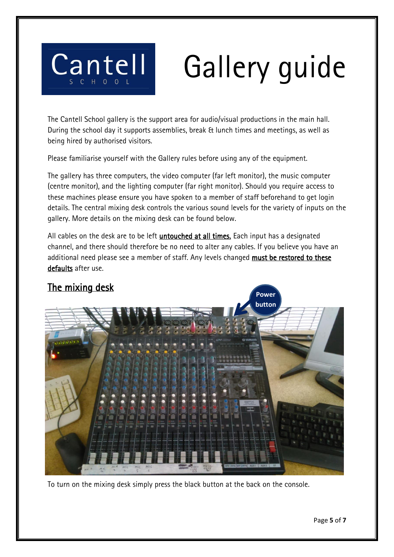

## Gallery guide

The Cantell School gallery is the support area for audio/visual productions in the main hall. During the school day it supports assemblies, break & lunch times and meetings, as well as being hired by authorised visitors.

Please familiarise yourself with the Gallery rules before using any of the equipment.

The gallery has three computers, the video computer (far left monitor), the music computer (centre monitor), and the lighting computer (far right monitor). Should you require access to these machines please ensure you have spoken to a member of staff beforehand to get login details. The central mixing desk controls the various sound levels for the variety of inputs on the gallery. More details on the mixing desk can be found below.

All cables on the desk are to be left *untouched at all times*. Each input has a designated channel, and there should therefore be no need to alter any cables. If you believe you have an additional need please see a member of staff. Any levels changed must be restored to these defaults after use.

#### The mixing desk



To turn on the mixing desk simply press the black button at the back on the console.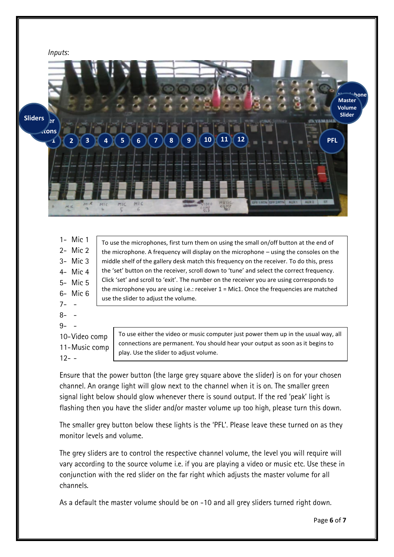

|         | $1 -$ Mic 1   | To use the microphones, first turn them on using the small on/off button at the end of                                                                                                                                        |
|---------|---------------|-------------------------------------------------------------------------------------------------------------------------------------------------------------------------------------------------------------------------------|
|         | $2 -$ Mic $2$ | the microphone. A frequency will display on the microphone – using the consoles on the                                                                                                                                        |
|         | $3 -$ Mic $3$ | middle shelf of the gallery desk match this frequency on the receiver. To do this, press                                                                                                                                      |
|         | $4-$ Mic $4-$ | the 'set' button on the receiver, scroll down to 'tune' and select the correct frequency.                                                                                                                                     |
|         | 5- Mic 5      | Click 'set' and scroll to 'exit'. The number on the receiver you are using corresponds to<br>the microphone you are using i.e.: receiver $1 =$ Mic1. Once the frequencies are matched<br>use the slider to adjust the volume. |
|         | 6- Mic 6      |                                                                                                                                                                                                                               |
| $7 - -$ |               |                                                                                                                                                                                                                               |
| $8 - -$ |               |                                                                                                                                                                                                                               |
|         |               |                                                                                                                                                                                                                               |

 $9 - -$ 

10-Video comp 11-Music comp  $12 - -$ 

To use either the video or music computer just power them up in the usual way, all connections are permanent. You should hear your output as soon as it begins to play. Use the slider to adjust volume.

Ensure that the power button (the large grey square above the slider) is on for your chosen channel. An orange light will glow next to the channel when it is on. The smaller green signal light below should glow whenever there is sound output. If the red 'peak' light is flashing then you have the slider and/or master volume up too high, please turn this down.

The smaller grey button below these lights is the 'PFL'. Please leave these turned on as they monitor levels and volume.

The grey sliders are to control the respective channel volume, the level you will require will vary according to the source volume i.e. if you are playing a video or music etc. Use these in conjunction with the red slider on the far right which adjusts the master volume for all channels.

As a default the master volume should be on -10 and all grey sliders turned right down.